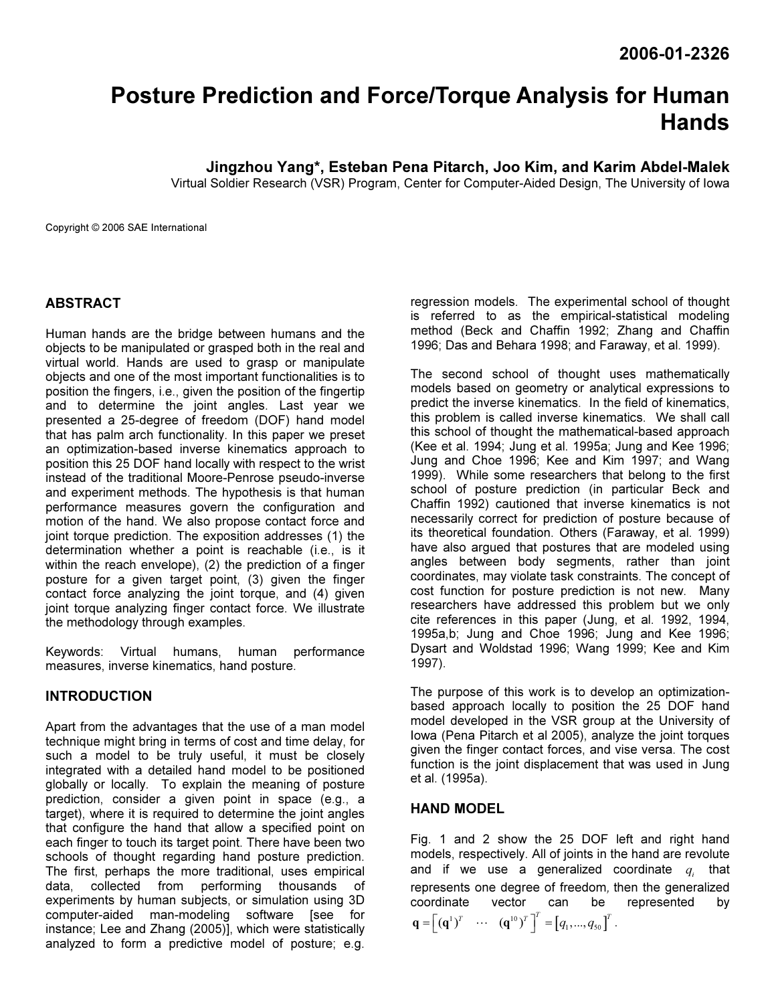# Posture Prediction and Force/Torque Analysis for Human Hands

Jingzhou Yang\*, Esteban Pena Pitarch, Joo Kim, and Karim Abdel-Malek

Virtual Soldier Research (VSR) Program, Center for Computer-Aided Design, The University of Iowa

Copyright © 2006 SAE International

# ABSTRACT

Human hands are the bridge between humans and the objects to be manipulated or grasped both in the real and virtual world. Hands are used to grasp or manipulate objects and one of the most important functionalities is to position the fingers, i.e., given the position of the fingertip and to determine the joint angles. Last year we presented a 25-degree of freedom (DOF) hand model that has palm arch functionality. In this paper we preset an optimization-based inverse kinematics approach to position this 25 DOF hand locally with respect to the wrist instead of the traditional Moore-Penrose pseudo-inverse and experiment methods. The hypothesis is that human performance measures govern the configuration and motion of the hand. We also propose contact force and joint torque prediction. The exposition addresses (1) the determination whether a point is reachable (i.e., is it within the reach envelope), (2) the prediction of a finger posture for a given target point, (3) given the finger contact force analyzing the joint torque, and (4) given joint torque analyzing finger contact force. We illustrate the methodology through examples.

Keywords: Virtual humans, human performance measures, inverse kinematics, hand posture.

## INTRODUCTION

Apart from the advantages that the use of a man model technique might bring in terms of cost and time delay, for such a model to be truly useful, it must be closely integrated with a detailed hand model to be positioned globally or locally. To explain the meaning of posture prediction, consider a given point in space (e.g., a target), where it is required to determine the joint angles that configure the hand that allow a specified point on each finger to touch its target point. There have been two schools of thought regarding hand posture prediction. The first, perhaps the more traditional, uses empirical data, collected from performing thousands of experiments by human subjects, or simulation using 3D computer-aided man-modeling software [see for instance; Lee and Zhang (2005)], which were statistically analyzed to form a predictive model of posture; e.g.

regression models. The experimental school of thought is referred to as the empirical-statistical modeling method (Beck and Chaffin 1992; Zhang and Chaffin 1996; Das and Behara 1998; and Faraway, et al. 1999).

The second school of thought uses mathematically models based on geometry or analytical expressions to predict the inverse kinematics. In the field of kinematics, this problem is called inverse kinematics. We shall call this school of thought the mathematical-based approach (Kee et al. 1994; Jung et al. 1995a; Jung and Kee 1996; Jung and Choe 1996; Kee and Kim 1997; and Wang 1999). While some researchers that belong to the first school of posture prediction (in particular Beck and Chaffin 1992) cautioned that inverse kinematics is not necessarily correct for prediction of posture because of its theoretical foundation. Others (Faraway, et al. 1999) have also argued that postures that are modeled using angles between body segments, rather than joint coordinates, may violate task constraints. The concept of cost function for posture prediction is not new. Many researchers have addressed this problem but we only cite references in this paper (Jung, et al. 1992, 1994, 1995a,b; Jung and Choe 1996; Jung and Kee 1996; Dysart and Woldstad 1996; Wang 1999; Kee and Kim 1997).

The purpose of this work is to develop an optimizationbased approach locally to position the 25 DOF hand model developed in the VSR group at the University of Iowa (Pena Pitarch et al 2005), analyze the joint torques given the finger contact forces, and vise versa. The cost function is the joint displacement that was used in Jung et al. (1995a).

## HAND MODEL

Fig. 1 and 2 show the 25 DOF left and right hand models, respectively. All of joints in the hand are revolute and if we use a generalized coordinate  $q_i$  that represents one degree of freedom, then the generalized<br>coordinate vector can be represented by coordinate vector  $\mathbf{q} = \begin{bmatrix} (\mathbf{q}^1)^T & \cdots & (\mathbf{q}^{10})^T \end{bmatrix}^T = \begin{bmatrix} q_1, ..., q_{50} \end{bmatrix}^T$ .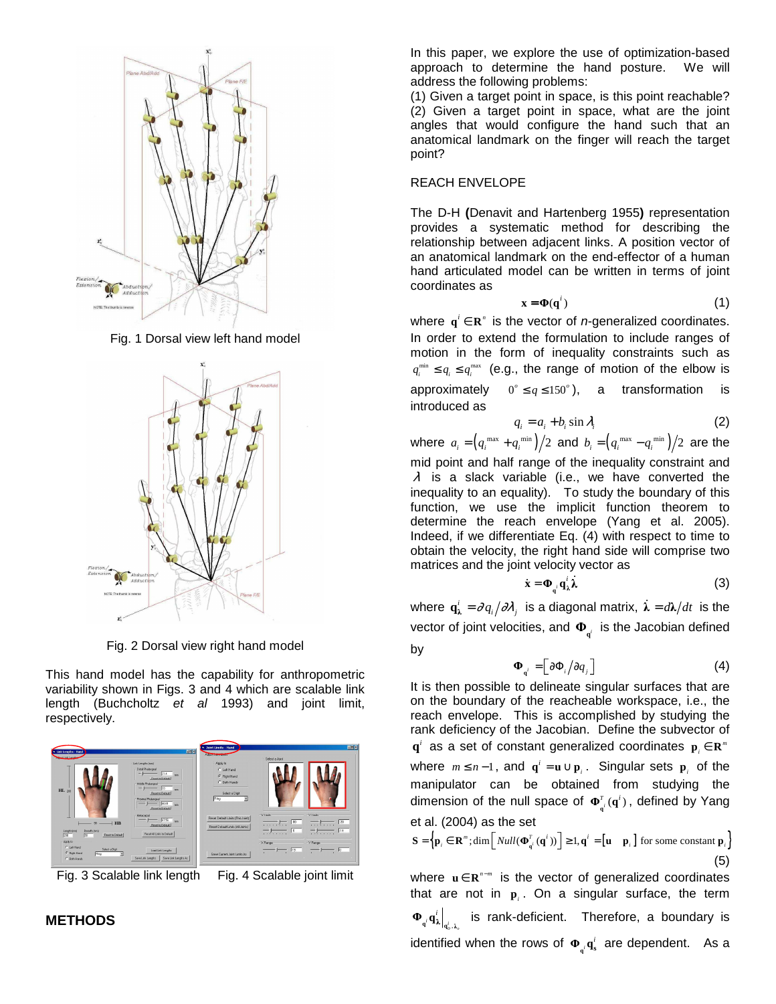

Fig. 1 Dorsal view left hand model



Fig. 2 Dorsal view right hand model

This hand model has the capability for anthropometric variability shown in Figs. 3 and 4 which are scalable link length (Buchcholtz et al 1993) and joint limit, respectively.



Fig. 3 Scalable link length Fig. 4 Scalable joint limit

In this paper, we explore the use of optimization-based approach to determine the hand posture. We will address the following problems:

(1) Given a target point in space, is this point reachable? (2) Given a target point in space, what are the joint angles that would configure the hand such that an anatomical landmark on the finger will reach the target point?

### REACH ENVELOPE

The D-H **(**Denavit and Hartenberg 1955**)** representation provides a systematic method for describing the relationship between adjacent links. A position vector of an anatomical landmark on the end-effector of a human hand articulated model can be written in terms of joint coordinates as

$$
\mathbf{x} = \mathbf{\Phi}(\mathbf{q}^i) \tag{1}
$$

where  $q^i \in \mathbb{R}^n$  is the vector of *n*-generalized coordinates. In order to extend the formulation to include ranges of motion in the form of inequality constraints such as  $q_i^{\min} \leq q_i \leq q_i^{\max}$  (e.g., the range of motion of the elbow is approximately  $0^\circ \leq q \leq 150^\circ$ ), a transformation is introduced as

$$
q_i = a_i + b_i \sin \lambda_i \tag{2}
$$

where  $a_i = ( q_i^{\text{max}} + q_i^{\text{min}} )/2$  and  $b_i = ( q_i^{\text{max}} - q_i^{\text{min}} )/2$  are the mid point and half range of the inequality constraint and  $\lambda$  is a slack variable (i.e., we have converted the inequality to an equality). To study the boundary of this function, we use the implicit function theorem to determine the reach envelope (Yang et al. 2005). Indeed, if we differentiate Eq. (4) with respect to time to obtain the velocity, the right hand side will comprise two matrices and the joint velocity vector as

$$
\dot{\mathbf{x}} = \mathbf{\Phi}_{q^i} \mathbf{q}^i_{\lambda} \boldsymbol{\lambda} \tag{3}
$$

where  $\mathbf{q}_\lambda^i = \partial q_i / \partial \lambda_j$  is a diagonal matrix,  $\dot{\bm{\lambda}} = d \bm{\lambda} / dt$  is the vector of joint velocities, and  $\Phi_{q^i}$  is the Jacobian defined by

$$
\mathbf{\Phi}_{q^i} = \left[ \partial \mathbf{\Phi}_i / \partial q_j \right] \tag{4}
$$

It is then possible to delineate singular surfaces that are on the boundary of the reacheable workspace, i.e., the reach envelope. This is accomplished by studying the rank deficiency of the Jacobian. Define the subvector of  $\mathbf{q}^i$  as a set of constant generalized coordinates  $\mathbf{p}_i \in \mathbf{R}^m$ where  $m \leq n-1$ , and  $\mathbf{q}^i = \mathbf{u} \cup \mathbf{p}_i$ . Singular sets  $\mathbf{p}_i$  of the manipulator can be obtained from studying the dimension of the null space of  $\mathbf{\Phi}_{q^i}^{\tau}(\mathbf{q}^i)$ , defined by Yang et al. (2004) as the set

$$
\mathbf{S} = \left\{ \mathbf{p}_i \in \mathbf{R}^m; \dim \left[ \text{Null}(\mathbf{\Phi}_{\mathbf{q}^i}^T(\mathbf{q}^i)) \right] \ge 1, \mathbf{q}^i = \left[ \mathbf{u} \quad \mathbf{p}_i \right] \text{ for some constant } \mathbf{p}_i \right\}
$$
(5)

where u ∈ R<sup>n-*m*</sup> is the vector of generalized coordinates that are not in  $\mathbf{p}_i$ . On a singular surface, the term  $\left. \begin{array}{cc} \mu \mathbf{1}_{\lambda} \end{array} \right|_{\mathbf{q}_o^i, \lambda_o^i}$  $\Phi_{q'}^{\dagger}q_{\lambda}^{i} \Big|_{q_{a}',\lambda_{a}^{i}}$  is rank-deficient. Therefore, a boundary is identified when the rows of  $\Phi_{\mu} \mathbf{q}_{s}^{i}$  $\mathbf{\Phi}_{\mathbf{q}^i} \mathbf{q}_\mathbf{s}^i$  are dependent. As a

**METHODS**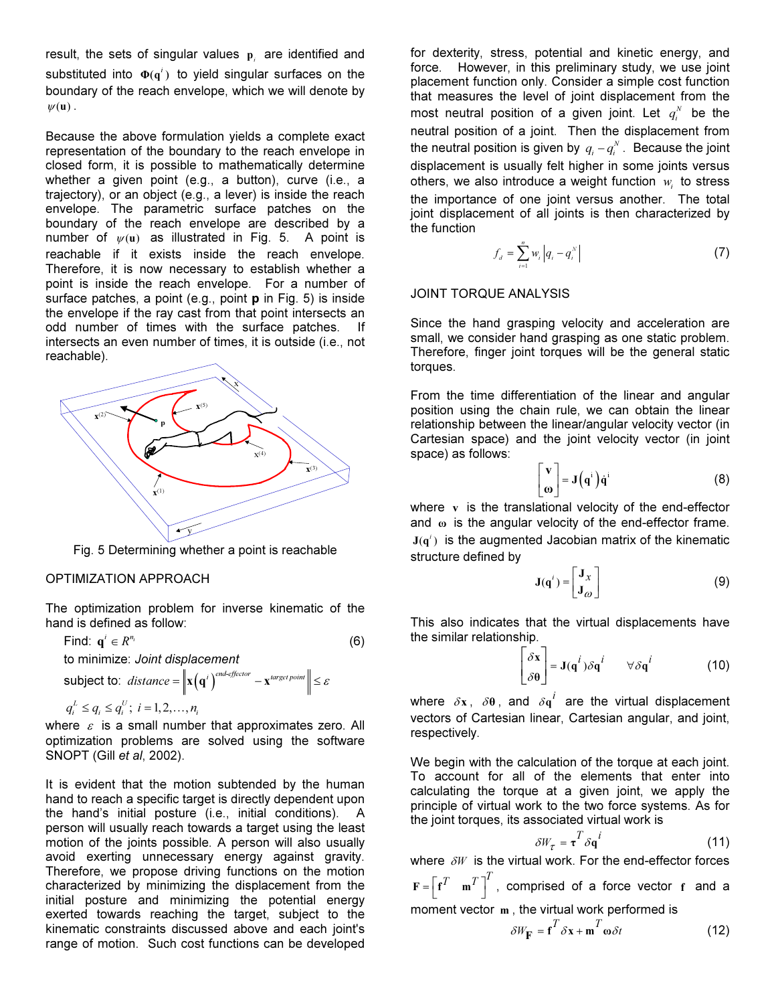result, the sets of singular values  $p_i$  are identified and substituted into  $\Phi(q^i)$  to yield singular surfaces on the boundary of the reach envelope, which we will denote by  $\psi(\mathbf{u})$ .

Because the above formulation yields a complete exact representation of the boundary to the reach envelope in closed form, it is possible to mathematically determine whether a given point (e.g., a button), curve (i.e., a trajectory), or an object (e.g., a lever) is inside the reach envelope. The parametric surface patches on the boundary of the reach envelope are described by a number of  $\psi(\mathbf{u})$  as illustrated in Fig. 5. A point is reachable if it exists inside the reach envelope. Therefore, it is now necessary to establish whether a point is inside the reach envelope. For a number of surface patches, a point (e.g., point  $p$  in Fig. 5) is inside the envelope if the ray cast from that point intersects an odd number of times with the surface patches. If intersects an even number of times, it is outside (i.e., not reachable).



Fig. 5 Determining whether a point is reachable

#### OPTIMIZATION APPROACH

The optimization problem for inverse kinematic of the hand is defined as follow:

Find: 
$$
\mathbf{q}^i \in R^{n_i}
$$
 (6)  
to minimize: *Joint displacement*  
subject to: *distance* =  $\|\mathbf{x}(\mathbf{q}^i)^{end\}^{end}$  =  $\mathbf{x}^{target point}$   $\leq \varepsilon$   
 $q_i^L \leq q_i \leq q_i^U$ ;  $i = 1, 2, ..., n_i$ 

where  $\varepsilon$  is a small number that approximates zero. All optimization problems are solved using the software SNOPT (Gill et al, 2002).

It is evident that the motion subtended by the human hand to reach a specific target is directly dependent upon the hand's initial posture (i.e., initial conditions). A person will usually reach towards a target using the least motion of the joints possible. A person will also usually avoid exerting unnecessary energy against gravity. Therefore, we propose driving functions on the motion characterized by minimizing the displacement from the initial posture and minimizing the potential energy exerted towards reaching the target, subject to the kinematic constraints discussed above and each joint's range of motion. Such cost functions can be developed

for dexterity, stress, potential and kinetic energy, and force. However, in this preliminary study, we use joint placement function only. Consider a simple cost function that measures the level of joint displacement from the most neutral position of a given joint. Let  $q_i^N$  be the neutral position of a joint. Then the displacement from the neutral position is given by  $q_i - q_i^N$  . Because the joint displacement is usually felt higher in some joints versus others, we also introduce a weight function  $w_i$  to stress the importance of one joint versus another. The total joint displacement of all joints is then characterized by the function

$$
f_{d} = \sum_{i=1}^{n} w_{i} |q_{i} - q_{i}^{N}|
$$
 (7)

#### JOINT TORQUE ANALYSIS

Since the hand grasping velocity and acceleration are small, we consider hand grasping as one static problem. Therefore, finger joint torques will be the general static torques.

From the time differentiation of the linear and angular position using the chain rule, we can obtain the linear relationship between the linear/angular velocity vector (in Cartesian space) and the joint velocity vector (in joint space) as follows:

$$
\begin{bmatrix} \mathbf{v} \\ \mathbf{\omega} \end{bmatrix} = \mathbf{J} \left( \mathbf{q}^i \right) \dot{\mathbf{q}}^i \tag{8}
$$

where  $v$  is the translational velocity of the end-effector and  $\omega$  is the angular velocity of the end-effector frame.  $J(q^i)$  is the augmented Jacobian matrix of the kinematic structure defined by

$$
\mathbf{J}(\mathbf{q}^i) = \begin{bmatrix} \mathbf{J}_x \\ \mathbf{J}_\omega \end{bmatrix}
$$
 (9)

This also indicates that the virtual displacements have the similar relationship.

$$
\begin{bmatrix} \delta \mathbf{x} \\ \delta \mathbf{\theta} \end{bmatrix} = \mathbf{J}(\mathbf{q}^i) \delta \mathbf{q}^i \qquad \forall \delta \mathbf{q}^i \tag{10}
$$

where  $\delta x$ ,  $\delta \theta$ , and  $\delta q^i$  are the virtual displacement vectors of Cartesian linear, Cartesian angular, and joint, respectively.

We begin with the calculation of the torque at each joint. To account for all of the elements that enter into calculating the torque at a given joint, we apply the principle of virtual work to the two force systems. As for the joint torques, its associated virtual work is

$$
\delta W_{\tau} = \tau^T \delta \mathbf{q}^i \tag{11}
$$

where  $\delta W$  is the virtual work. For the end-effector forces , comprised of a force vector f and a moment vector m , the virtual work performed is

$$
\delta W_{\mathbf{F}} = \mathbf{f}^T \delta \mathbf{x} + \mathbf{m}^T \dot{\mathbf{\omega}} \delta t \tag{12}
$$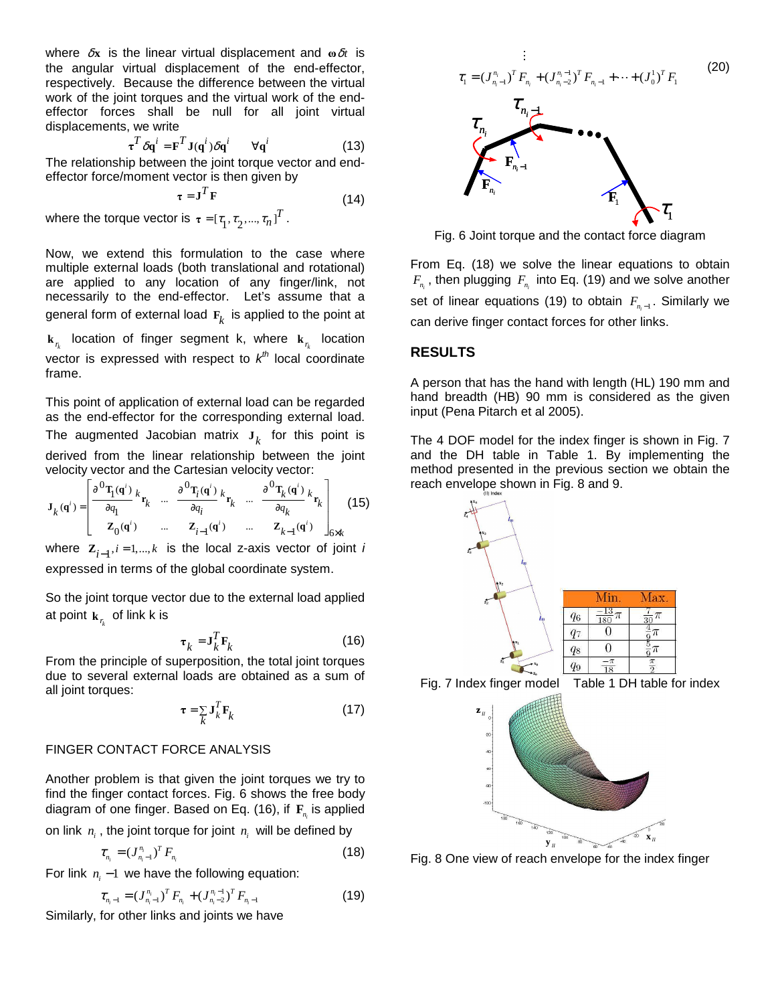where  $\delta$ **x** is the linear virtual displacement and  $\omega \delta t$  is the angular virtual displacement of the end-effector, respectively. Because the difference between the virtual work of the joint torques and the virtual work of the endeffector forces shall be null for all joint virtual displacements, we write

$$
\boldsymbol{\tau}^T \delta \mathbf{q}^i = \mathbf{F}^T \mathbf{J}(\mathbf{q}^i) \delta \mathbf{q}^i \qquad \forall \mathbf{q}^i \tag{13}
$$

The relationship between the joint torque vector and endeffector force/moment vector is then given by

$$
\tau = \mathbf{J}^T \mathbf{F} \tag{14}
$$

where the torque vector is  $\tau$  = [ $\tau_1, \tau_2, ..., \tau_n$ ]  $\tau = [\tau_1, \tau_2, ..., \tau_n]^T$ .

Now, we extend this formulation to the case where multiple external loads (both translational and rotational) are applied to any location of any finger/link, not necessarily to the end-effector. Let's assume that a general form of external load  $\mathbf{F}_k$  is applied to the point at

*k r* **k** location of finger segment k, where *k r* **k** location vector is expressed with respect to  $k^{th}$  local coordinate frame.

This point of application of external load can be regarded as the end-effector for the corresponding external load. The augmented Jacobian matrix  $\mathbf{J}_k$  for this point is derived from the linear relationship between the joint velocity vector and the Cartesian velocity vector:

$$
\mathbf{J}_{k}(\mathbf{q}^{i}) = \begin{bmatrix} \frac{\partial^{0} \mathbf{T}_{1}(\mathbf{q}^{i})}{\partial q_{1}} k_{\mathbf{r}_{k}} & \dots & \frac{\partial^{0} \mathbf{T}_{i}(\mathbf{q}^{i})}{\partial q_{i}} k_{\mathbf{r}_{k}} & \dots & \frac{\partial^{0} \mathbf{T}_{k}(\mathbf{q}^{i})}{\partial q_{k}} k_{\mathbf{r}_{k}} \\ \mathbf{Z}_{0}(\mathbf{q}^{i}) & \dots & \mathbf{Z}_{i-1}(\mathbf{q}^{i}) & \dots & \mathbf{Z}_{k-1}(\mathbf{q}^{i}) \end{bmatrix}_{6 \times k} (15)
$$

where  $\mathbf{Z}_{i-1}$ ,  $i = 1,...,k$  is the local z-axis vector of joint *i* expressed in terms of the global coordinate system.

So the joint torque vector due to the external load applied at point  $\mathbf{k}_{r_k}$  of link k is

$$
\boldsymbol{\tau}_k = \mathbf{J}_k^T \mathbf{F}_k \tag{16}
$$

From the principle of superposition, the total joint torques due to several external loads are obtained as a sum of all joint torques:

$$
\tau = \sum_{k} \mathbf{J}_{k}^{T} \mathbf{F}_{k} \tag{17}
$$

#### FINGER CONTACT FORCE ANALYSIS

Another problem is that given the joint torques we try to find the finger contact forces. Fig. 6 shows the free body diagram of one finger. Based on Eq. (16), if *i* **F***n* is applied

on link  $n_i$  , the joint torque for joint  $n_i$  will be defined by

$$
\tau_{n_i} = (J_{n_i-1}^{n_i})^T F_{n_i}
$$
\n(18)

For link  $n_i - 1$  we have the following equation:

$$
\tau_{n_i-1} = (J_{n_i-1}^{n_i})^T F_{n_i} + (J_{n_i-2}^{n_i-1})^T F_{n_i-1}
$$
\n(19)

Similarly, for other links and joints we have





Fig. 6 Joint torque and the contact force diagram

From Eq. (18) we solve the linear equations to obtain  $F_{n_i}$  , then plugging  $F_{n_i}$  into Eq. (19) and we solve another set of linear equations (19) to obtain  $F_{n_i-1}$ . Similarly we can derive finger contact forces for other links.

## **RESULTS**

A person that has the hand with length (HL) 190 mm and hand breadth (HB) 90 mm is considered as the given input (Pena Pitarch et al 2005).

The 4 DOF model for the index finger is shown in Fig. 7 and the DH table in Table 1. By implementing the method presented in the previous section we obtain the reach envelope shown in Fig. 8 and 9.



Fig. 7 Index finger model Table 1 DH table for index



Fig. 8 One view of reach envelope for the index finger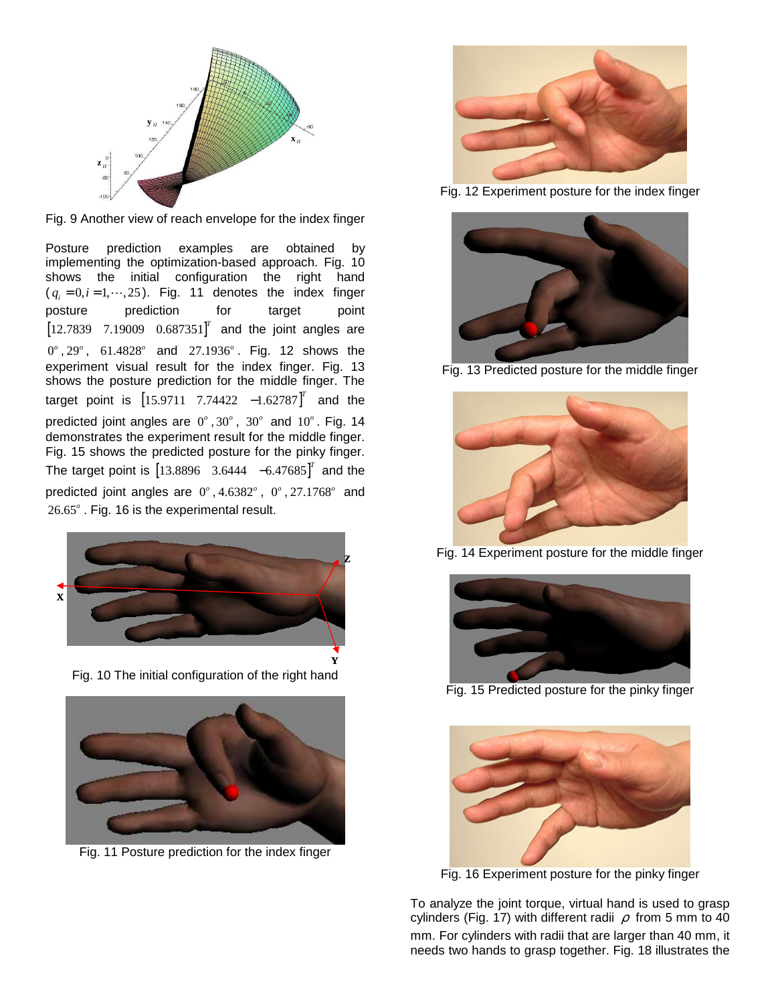

Fig. 9 Another view of reach envelope for the index finger

Posture prediction examples are obtained by implementing the optimization-based approach. Fig. 10 shows the initial configuration the right hand  $(q_i = 0, i = 1, \dots, 25)$ . Fig. 11 denotes the index finger posture prediction for target point  $[12.7839 \quad 7.19009 \quad 0.687351]^{T}$  and the joint angles are 0 *o* , 29 *o* , 61.4828 *o* and 27.1936 *o* . Fig. 12 shows the experiment visual result for the index finger. Fig. 13 shows the posture prediction for the middle finger. The target point is  $[15.9711 \t 7.74422 \t -1.62787]^T$  and the predicted joint angles are  $0^\circ$ ,  $30^\circ$ ,  $30^\circ$  and  $10^\circ$ . Fig. 14 demonstrates the experiment result for the middle finger. Fig. 15 shows the predicted posture for the pinky finger. The target point is  $[13.8896 \quad 3.6444 \quad -6.47685]^{T}$  and the predicted joint angles are 0°, 4.6382°, 0°, 27.1768° and 26.65°. Fig. 16 is the experimental result.





Fig. 11 Posture prediction for the index finger



Fig. 12 Experiment posture for the index finger



Fig. 13 Predicted posture for the middle finger



Fig. 14 Experiment posture for the middle finger



Fig. 15 Predicted posture for the pinky finger



Fig. 16 Experiment posture for the pinky finger

To analyze the joint torque, virtual hand is used to grasp cylinders (Fig. 17) with different radii  $\rho$  from 5 mm to 40 mm. For cylinders with radii that are larger than 40 mm, it needs two hands to grasp together. Fig. 18 illustrates the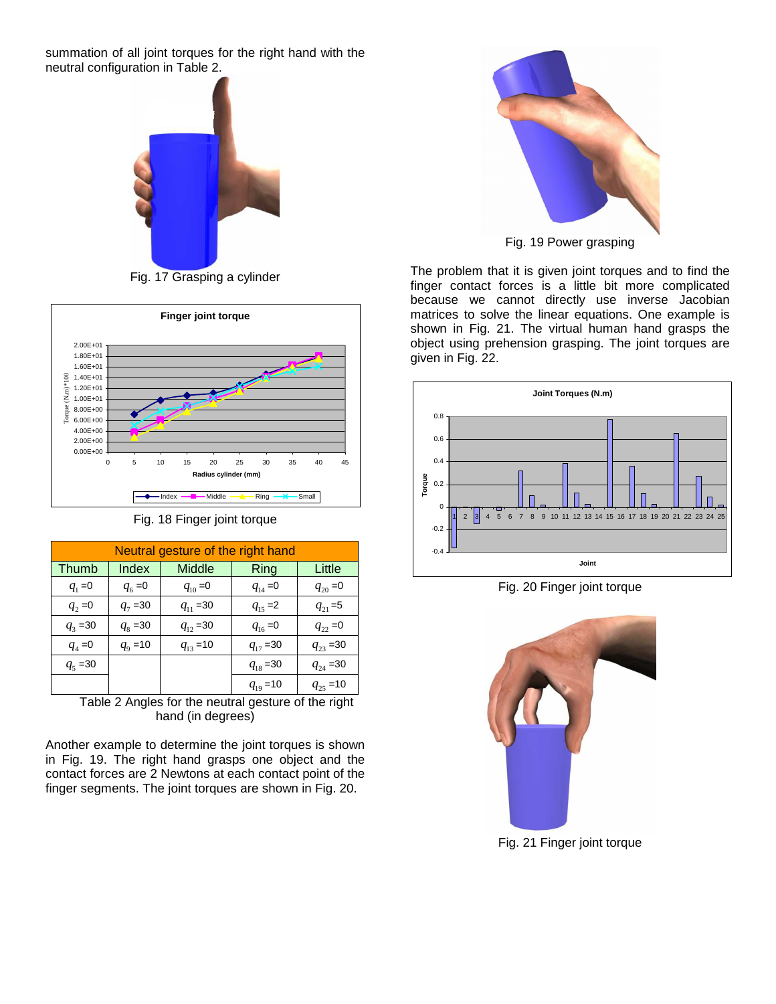summation of all joint torques for the right hand with the neutral configuration in Table 2.



Fig. 17 Grasping a cylinder



Fig. 18 Finger joint torque

| Neutral gesture of the right hand |              |               |               |               |
|-----------------------------------|--------------|---------------|---------------|---------------|
| Thumb                             | Index        | Middle        | Ring          | Little        |
| $q_1 = 0$                         | $q_6 = 0$    | $q_{10} = 0$  | $q_{14} = 0$  | $q_{20} = 0$  |
| $q_{2} = 0$                       | $q_7 = 30$   | $q_{11} = 30$ | $q_{15} = 2$  | $q_{21} = 5$  |
| $q_3 = 30$                        | $q_8 = 30$   | $q_{12} = 30$ | $q_{16} = 0$  | $q_{22} = 0$  |
| $q_4 = 0$                         | $q_{9} = 10$ | $q_{13} = 10$ | $q_{17} = 30$ | $q_{23} = 30$ |
| $q_5 = 30$                        |              |               | $q_{18} = 30$ | $q_{24} = 30$ |
|                                   |              |               | $q_{19} = 10$ | $q_{25} = 10$ |

Table 2 Angles for the neutral gesture of the right hand (in degrees)

Another example to determine the joint torques is shown in Fig. 19. The right hand grasps one object and the contact forces are 2 Newtons at each contact point of the finger segments. The joint torques are shown in Fig. 20.



Fig. 19 Power grasping

The problem that it is given joint torques and to find the finger contact forces is a little bit more complicated because we cannot directly use inverse Jacobian matrices to solve the linear equations. One example is shown in Fig. 21. The virtual human hand grasps the object using prehension grasping. The joint torques are given in Fig. 22.



Fig. 20 Finger joint torque



Fig. 21 Finger joint torque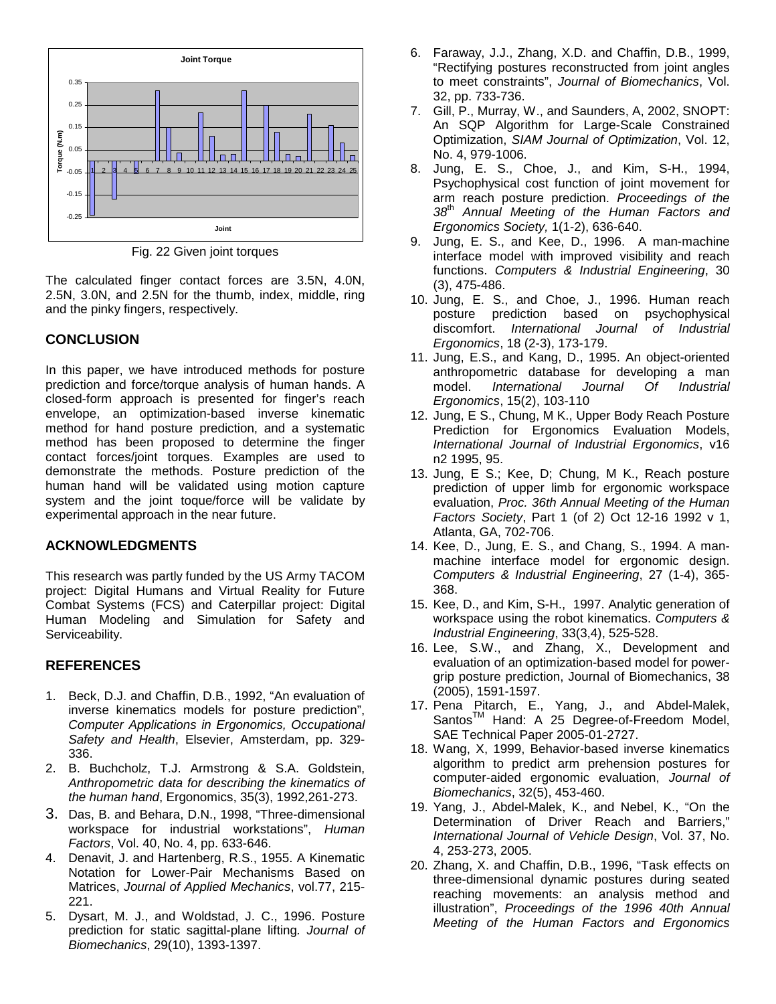

Fig. 22 Given joint torques

The calculated finger contact forces are 3.5N, 4.0N, 2.5N, 3.0N, and 2.5N for the thumb, index, middle, ring and the pinky fingers, respectively.

## **CONCLUSION**

In this paper, we have introduced methods for posture prediction and force/torque analysis of human hands. A closed-form approach is presented for finger's reach envelope, an optimization-based inverse kinematic method for hand posture prediction, and a systematic method has been proposed to determine the finger contact forces/joint torques. Examples are used to demonstrate the methods. Posture prediction of the human hand will be validated using motion capture system and the joint toque/force will be validate by experimental approach in the near future.

## **ACKNOWLEDGMENTS**

This research was partly funded by the US Army TACOM project: Digital Humans and Virtual Reality for Future Combat Systems (FCS) and Caterpillar project: Digital Human Modeling and Simulation for Safety and Serviceability.

## **REFERENCES**

- 1. Beck, D.J. and Chaffin, D.B., 1992, "An evaluation of inverse kinematics models for posture prediction", Computer Applications in Ergonomics, Occupational Safety and Health, Elsevier, Amsterdam, pp. 329- 336.
- 2. B. Buchcholz, T.J. Armstrong & S.A. Goldstein, Anthropometric data for describing the kinematics of the human hand, Ergonomics, 35(3), 1992,261-273.
- 3. Das, B. and Behara, D.N., 1998, "Three-dimensional workspace for industrial workstations", Human Factors, Vol. 40, No. 4, pp. 633-646.
- 4. Denavit, J. and Hartenberg, R.S., 1955. A Kinematic Notation for Lower-Pair Mechanisms Based on Matrices, Journal of Applied Mechanics, vol.77, 215- 221.
- 5. Dysart, M. J., and Woldstad, J. C., 1996. Posture prediction for static sagittal-plane lifting. Journal of Biomechanics, 29(10), 1393-1397.
- 6. Faraway, J.J., Zhang, X.D. and Chaffin, D.B., 1999, "Rectifying postures reconstructed from joint angles to meet constraints", Journal of Biomechanics, Vol. 32, pp. 733-736.
- 7. Gill, P., Murray, W., and Saunders, A, 2002, SNOPT: An SQP Algorithm for Large-Scale Constrained Optimization, SIAM Journal of Optimization, Vol. 12, No. 4, 979-1006.
- 8. Jung, E. S., Choe, J., and Kim, S-H., 1994, Psychophysical cost function of joint movement for arm reach posture prediction. Proceedings of the 38<sup>th</sup> Annual Meeting of the Human Factors and Ergonomics Society, 1(1-2), 636-640.
- 9. Jung, E. S., and Kee, D., 1996. A man-machine interface model with improved visibility and reach functions. Computers & Industrial Engineering, 30 (3), 475-486.
- 10. Jung, E. S., and Choe, J., 1996. Human reach posture prediction based on psychophysical discomfort. International Journal of Industrial Ergonomics, 18 (2-3), 173-179.
- 11. Jung, E.S., and Kang, D., 1995. An object-oriented anthropometric database for developing a man model. International Journal Of Industrial Ergonomics, 15(2), 103-110
- 12. Jung, E S., Chung, M K., Upper Body Reach Posture Prediction for Ergonomics Evaluation Models, International Journal of Industrial Ergonomics, v16 n2 1995, 95.
- 13. Jung, E S.; Kee, D; Chung, M K., Reach posture prediction of upper limb for ergonomic workspace evaluation, Proc. 36th Annual Meeting of the Human Factors Society, Part 1 (of 2) Oct 12-16 1992 v 1, Atlanta, GA, 702-706.
- 14. Kee, D., Jung, E. S., and Chang, S., 1994. A manmachine interface model for ergonomic design. Computers & Industrial Engineering, 27 (1-4), 365- 368.
- 15. Kee, D., and Kim, S-H., 1997. Analytic generation of workspace using the robot kinematics. Computers & Industrial Engineering, 33(3,4), 525-528.
- 16. Lee, S.W., and Zhang, X., Development and evaluation of an optimization-based model for powergrip posture prediction, Journal of Biomechanics, 38 (2005), 1591-1597.
- 17. Pena Pitarch, E., Yang, J., and Abdel-Malek, Santos<sup>™</sup> Hand: A 25 Degree-of-Freedom Model, SAE Technical Paper 2005-01-2727.
- 18. Wang, X, 1999, Behavior-based inverse kinematics algorithm to predict arm prehension postures for computer-aided ergonomic evaluation, Journal of Biomechanics, 32(5), 453-460.
- 19. Yang, J., Abdel-Malek, K., and Nebel, K., "On the Determination of Driver Reach and Barriers," International Journal of Vehicle Design, Vol. 37, No. 4, 253-273, 2005.
- 20. Zhang, X. and Chaffin, D.B., 1996, "Task effects on three-dimensional dynamic postures during seated reaching movements: an analysis method and illustration", Proceedings of the 1996 40th Annual Meeting of the Human Factors and Ergonomics